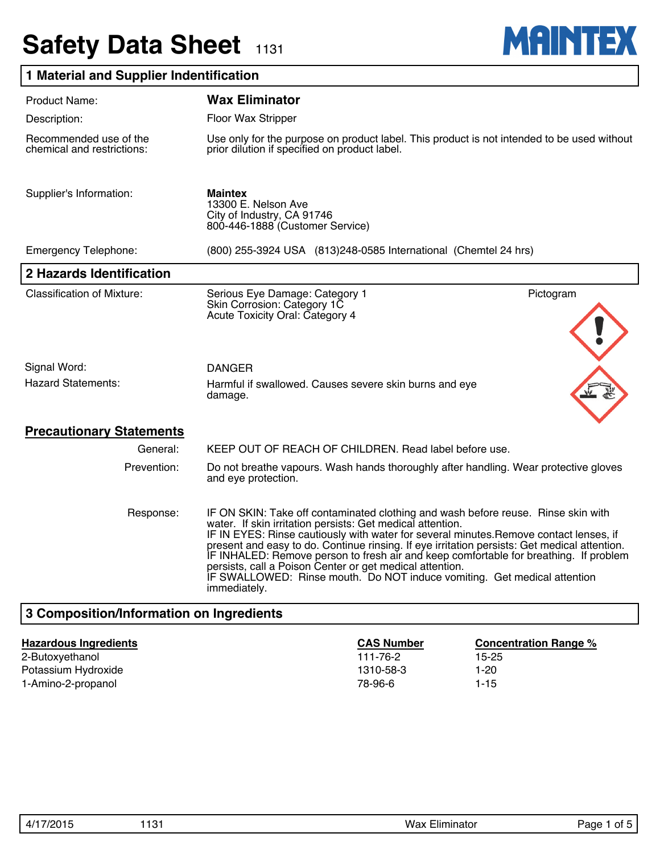# **Safety Data Sheet 1131**



## **1 Material and Supplier Indentification**

| <b>Product Name:</b>                                                                                                                                                                                                                                                                                                                                                                                                                                                                                                                                                                                    | <b>Wax Eliminator</b>                                                                                                                       |  |  |  |
|---------------------------------------------------------------------------------------------------------------------------------------------------------------------------------------------------------------------------------------------------------------------------------------------------------------------------------------------------------------------------------------------------------------------------------------------------------------------------------------------------------------------------------------------------------------------------------------------------------|---------------------------------------------------------------------------------------------------------------------------------------------|--|--|--|
| Description:                                                                                                                                                                                                                                                                                                                                                                                                                                                                                                                                                                                            | Floor Wax Stripper                                                                                                                          |  |  |  |
| Recommended use of the<br>chemical and restrictions:                                                                                                                                                                                                                                                                                                                                                                                                                                                                                                                                                    | Use only for the purpose on product label. This product is not intended to be used without<br>prior dilution if specified on product label. |  |  |  |
| Supplier's Information:                                                                                                                                                                                                                                                                                                                                                                                                                                                                                                                                                                                 | <b>Maintex</b><br>13300 E. Nelson Ave<br>City of Industry, CA 91746<br>800-446-1888 (Customer Service)                                      |  |  |  |
| <b>Emergency Telephone:</b>                                                                                                                                                                                                                                                                                                                                                                                                                                                                                                                                                                             | (800) 255-3924 USA (813) 248-0585 International (Chemtel 24 hrs)                                                                            |  |  |  |
| 2 Hazards Identification                                                                                                                                                                                                                                                                                                                                                                                                                                                                                                                                                                                |                                                                                                                                             |  |  |  |
| <b>Classification of Mixture:</b>                                                                                                                                                                                                                                                                                                                                                                                                                                                                                                                                                                       | Pictogram<br>Serious Eye Damage: Category 1<br>Skin Corrosion: Category 1C<br>Acute Toxicity Oral: Category 4                               |  |  |  |
| Signal Word:                                                                                                                                                                                                                                                                                                                                                                                                                                                                                                                                                                                            | <b>DANGER</b>                                                                                                                               |  |  |  |
| <b>Hazard Statements:</b>                                                                                                                                                                                                                                                                                                                                                                                                                                                                                                                                                                               | Harmful if swallowed. Causes severe skin burns and eye<br>damage.                                                                           |  |  |  |
| <b>Precautionary Statements</b>                                                                                                                                                                                                                                                                                                                                                                                                                                                                                                                                                                         |                                                                                                                                             |  |  |  |
| General:                                                                                                                                                                                                                                                                                                                                                                                                                                                                                                                                                                                                | KEEP OUT OF REACH OF CHILDREN. Read label before use.                                                                                       |  |  |  |
| Prevention:                                                                                                                                                                                                                                                                                                                                                                                                                                                                                                                                                                                             | Do not breathe vapours. Wash hands thoroughly after handling. Wear protective gloves<br>and eye protection.                                 |  |  |  |
| Response:<br>IF ON SKIN: Take off contaminated clothing and wash before reuse. Rinse skin with<br>water. If skin irritation persists: Get medical attention.<br>IF IN EYES: Rinse cautiously with water for several minutes. Remove contact lenses, if<br>present and easy to do. Continue rinsing. If eye irritation persists: Get medical attention.<br>IF INHALED: Remove person to fresh air and keep comfortable for breathing. If problem<br>persists, call a Poison Center or get medical attention.<br>IF SWALLOWED: Rinse mouth. Do NOT induce vomiting. Get medical attention<br>immediately. |                                                                                                                                             |  |  |  |
| 3 Composition/Information on Ingredients                                                                                                                                                                                                                                                                                                                                                                                                                                                                                                                                                                |                                                                                                                                             |  |  |  |

#### **Hazardous Ingredients CAS Number Concentration Range %**

2-Butoxyethanol 111-76-2 15-25 Potassium Hydroxide **1310-58-3** 1-20 1-Amino-2-propanol 1-15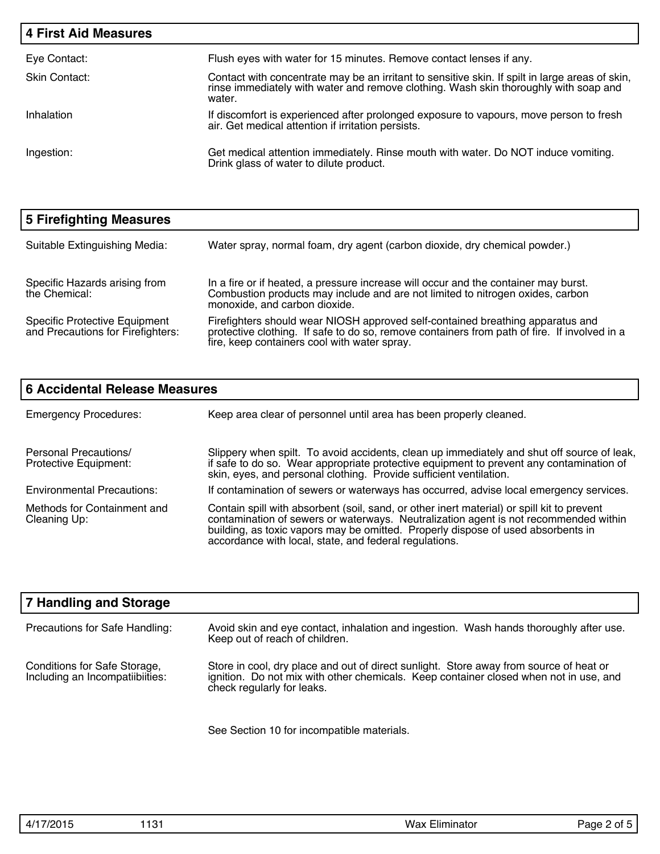| <b>4 First Aid Measures</b> |                                                                                                                                                                                                   |
|-----------------------------|---------------------------------------------------------------------------------------------------------------------------------------------------------------------------------------------------|
| Eye Contact:                | Flush eyes with water for 15 minutes. Remove contact lenses if any.                                                                                                                               |
| Skin Contact:               | Contact with concentrate may be an irritant to sensitive skin. If spilt in large areas of skin,<br>rinse immediately with water and remove clothing. Wash skin thoroughly with soap and<br>water. |
| Inhalation                  | If discomfort is experienced after prolonged exposure to vapours, move person to fresh<br>air. Get medical attention if irritation persists.                                                      |
| Ingestion:                  | Get medical attention immediately. Rinse mouth with water. Do NOT induce vomiting.<br>Drink glass of water to dilute product.                                                                     |

| 5 Firefighting Measures                                                   |                                                                                                                                                                                                                                |
|---------------------------------------------------------------------------|--------------------------------------------------------------------------------------------------------------------------------------------------------------------------------------------------------------------------------|
| Suitable Extinguishing Media:                                             | Water spray, normal foam, dry agent (carbon dioxide, dry chemical powder.)                                                                                                                                                     |
| Specific Hazards arising from<br>the Chemical:                            | In a fire or if heated, a pressure increase will occur and the container may burst.<br>Combustion products may include and are not limited to nitrogen oxides, carbon<br>monoxide, and carbon dioxide.                         |
| <b>Specific Protective Equipment</b><br>and Precautions for Firefighters: | Firefighters should wear NIOSH approved self-contained breathing apparatus and<br>protective clothing. If safe to do so, remove containers from path of fire. If involved in a<br>fire, keep containers cool with water spray. |

| <b>6 Accidental Release Measures</b>                  |                                                                                                                                                                                                                                                                                                                                  |  |  |
|-------------------------------------------------------|----------------------------------------------------------------------------------------------------------------------------------------------------------------------------------------------------------------------------------------------------------------------------------------------------------------------------------|--|--|
| <b>Emergency Procedures:</b>                          | Keep area clear of personnel until area has been properly cleaned.                                                                                                                                                                                                                                                               |  |  |
| <b>Personal Precautions/</b><br>Protective Equipment: | Slippery when spilt. To avoid accidents, clean up immediately and shut off source of leak,<br>if safe to do so. Wear appropriate protective equipment to prevent any contamination of<br>skin, eyes, and personal clothing. Provide sufficient ventilation.                                                                      |  |  |
| <b>Environmental Precautions:</b>                     | If contamination of sewers or waterways has occurred, advise local emergency services.                                                                                                                                                                                                                                           |  |  |
| Methods for Containment and<br>Cleaning Up:           | Contain spill with absorbent (soil, sand, or other inert material) or spill kit to prevent<br>contamination of sewers or waterways. Neutralization agent is not recommended within<br>building, as toxic vapors may be omitted. Properly dispose of used absorbents in<br>accordance with local, state, and federal regulations. |  |  |

| <b>7 Handling and Storage</b>                                   |                                                                                                                                                                                                               |
|-----------------------------------------------------------------|---------------------------------------------------------------------------------------------------------------------------------------------------------------------------------------------------------------|
| Precautions for Safe Handling:                                  | Avoid skin and eye contact, inhalation and ingestion. Wash hands thoroughly after use.<br>Keep out of reach of children.                                                                                      |
| Conditions for Safe Storage,<br>Including an Incompatiibiities: | Store in cool, dry place and out of direct sunlight. Store away from source of heat or<br>ignition. Do not mix with other chemicals. Keep container closed when not in use, and<br>check regularly for leaks. |

See Section 10 for incompatible materials.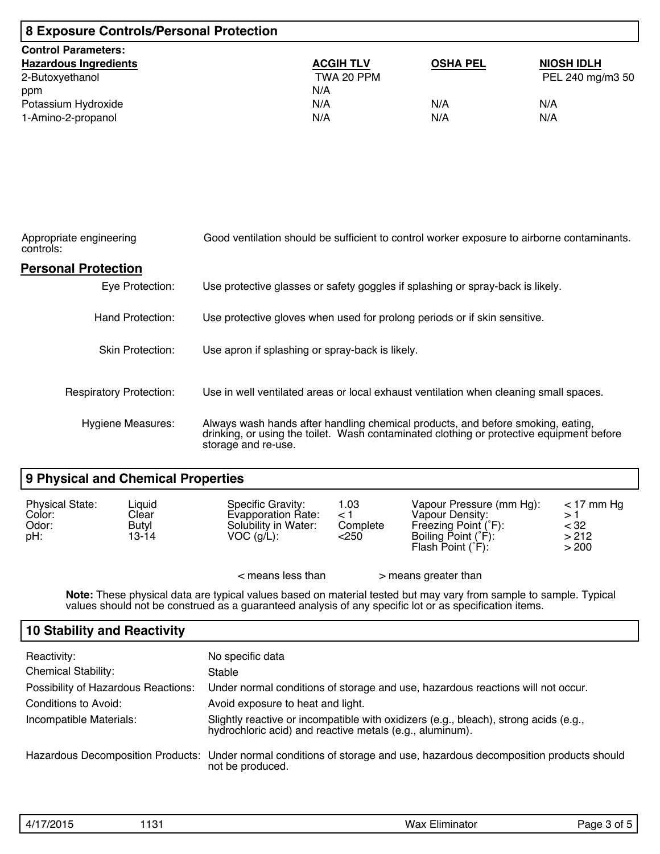| 8 Exposure Controls/Personal Protection |                  |                 |                   |  |
|-----------------------------------------|------------------|-----------------|-------------------|--|
| <b>Control Parameters:</b>              |                  |                 |                   |  |
| <b>Hazardous Ingredients</b>            | <b>ACGIH TLV</b> | <b>OSHA PEL</b> | <b>NIOSH IDLH</b> |  |
| 2-Butoxyethanol                         | TWA 20 PPM       |                 | PEL 240 mg/m3 50  |  |
| ppm                                     | N/A              |                 |                   |  |
| Potassium Hydroxide                     | N/A              | N/A             | N/A               |  |
| 1-Amino-2-propanol                      | N/A              | N/A             | N/A               |  |

| Appropriate engineering<br>controls: | Good ventilation should be sufficient to control worker exposure to airborne contaminants.                                                                                                         |  |  |  |
|--------------------------------------|----------------------------------------------------------------------------------------------------------------------------------------------------------------------------------------------------|--|--|--|
| <b>Personal Protection</b>           |                                                                                                                                                                                                    |  |  |  |
| Eye Protection:                      | Use protective glasses or safety goggles if splashing or spray-back is likely.                                                                                                                     |  |  |  |
| Hand Protection:                     | Use protective gloves when used for prolong periods or if skin sensitive.                                                                                                                          |  |  |  |
| <b>Skin Protection:</b>              | Use apron if splashing or spray-back is likely.                                                                                                                                                    |  |  |  |
| <b>Respiratory Protection:</b>       | Use in well ventilated areas or local exhaust ventilation when cleaning small spaces.                                                                                                              |  |  |  |
| <b>Hygiene Measures:</b>             | Always wash hands after handling chemical products, and before smoking, eating,<br>drinking, or using the toilet. Wash contaminated clothing or protective equipment before<br>storage and re-use. |  |  |  |

## **9 Physical and Chemical Properties**

| <b>Physical State:</b><br>Color:<br>Odor:<br>pH: | Liquid<br>Clear<br>Butyl<br>13-14 | Specific Gravity:<br>Evapporation Rate:<br>Solubility in Water:<br>$VOC$ (g/L): | 1.03<br>$\leq$ 1<br>Complete<br><250 | Vapour Pressure (mm Hg):<br>Vapour Density:<br>Freezing Point (°F):<br>Boiling Point (°F):<br>Flash Point $(°F)$ : | $<$ 17 mm Hq<br><32<br>>212<br>> 200 |
|--------------------------------------------------|-----------------------------------|---------------------------------------------------------------------------------|--------------------------------------|--------------------------------------------------------------------------------------------------------------------|--------------------------------------|
|                                                  |                                   | $\epsilon$ means less than                                                      |                                      | > means greater than                                                                                               |                                      |

**Note:** These physical data are typical values based on material tested but may vary from sample to sample. Typical values should not be construed as a guaranteed analysis of any specific lot or as specification items.

## **10 Stability and Reactivity**

| Reactivity:<br><b>Chemical Stability:</b> | No specific data<br>Stable                                                                                                                       |
|-------------------------------------------|--------------------------------------------------------------------------------------------------------------------------------------------------|
| Possibility of Hazardous Reactions:       | Under normal conditions of storage and use, hazardous reactions will not occur.                                                                  |
| Conditions to Avoid:                      | Avoid exposure to heat and light.                                                                                                                |
| Incompatible Materials:                   | Slightly reactive or incompatible with oxidizers (e.g., bleach), strong acids (e.g.,<br>hydrochloric acid) and reactive metals (e.g., aluminum). |
|                                           | Hazardous Decomposition Products: Under normal conditions of storage and use, hazardous decomposition products should<br>not be produced.        |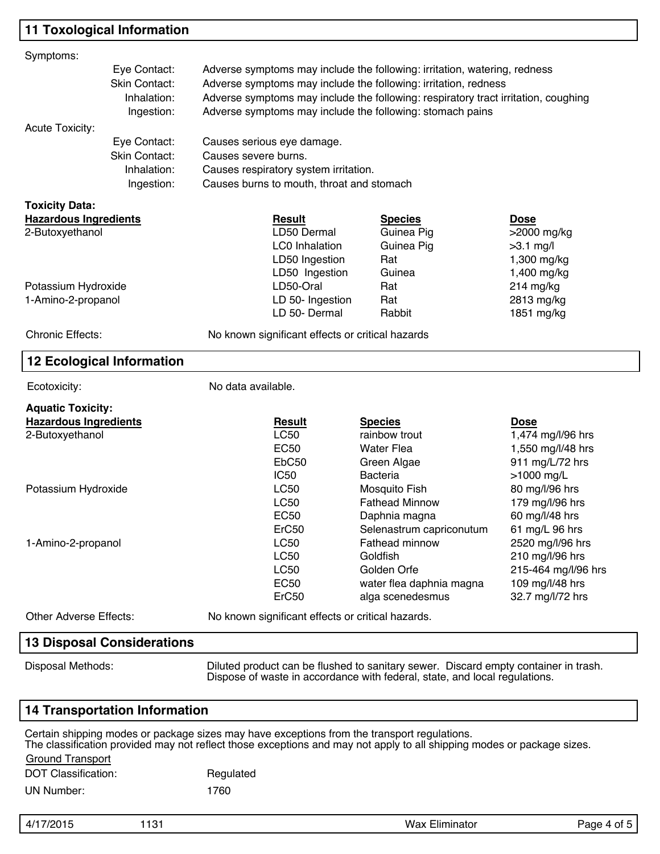## **11 Toxological Information**

| Symptoms:                                                |                                                                                                                                                                   |                                                                                    |                                                   |                                                                                                                        |                                  |  |  |  |
|----------------------------------------------------------|-------------------------------------------------------------------------------------------------------------------------------------------------------------------|------------------------------------------------------------------------------------|---------------------------------------------------|------------------------------------------------------------------------------------------------------------------------|----------------------------------|--|--|--|
|                                                          | Eye Contact:<br>Adverse symptoms may include the following: irritation, watering, redness                                                                         |                                                                                    |                                                   |                                                                                                                        |                                  |  |  |  |
|                                                          | <b>Skin Contact:</b>                                                                                                                                              | Adverse symptoms may include the following: irritation, redness                    |                                                   |                                                                                                                        |                                  |  |  |  |
|                                                          | Inhalation:                                                                                                                                                       | Adverse symptoms may include the following: respiratory tract irritation, coughing |                                                   |                                                                                                                        |                                  |  |  |  |
|                                                          | Ingestion:                                                                                                                                                        | Adverse symptoms may include the following: stomach pains                          |                                                   |                                                                                                                        |                                  |  |  |  |
| <b>Acute Toxicity:</b>                                   |                                                                                                                                                                   |                                                                                    |                                                   |                                                                                                                        |                                  |  |  |  |
|                                                          | Eye Contact:                                                                                                                                                      |                                                                                    | Causes serious eye damage.                        |                                                                                                                        |                                  |  |  |  |
|                                                          | Skin Contact:                                                                                                                                                     |                                                                                    | Causes severe burns.                              |                                                                                                                        |                                  |  |  |  |
|                                                          | Inhalation:                                                                                                                                                       |                                                                                    | Causes respiratory system irritation.             |                                                                                                                        |                                  |  |  |  |
|                                                          | Ingestion:                                                                                                                                                        |                                                                                    | Causes burns to mouth, throat and stomach         |                                                                                                                        |                                  |  |  |  |
|                                                          |                                                                                                                                                                   |                                                                                    |                                                   |                                                                                                                        |                                  |  |  |  |
| <b>Toxicity Data:</b>                                    |                                                                                                                                                                   |                                                                                    |                                                   |                                                                                                                        |                                  |  |  |  |
| <b>Hazardous Ingredients</b><br>2-Butoxyethanol          |                                                                                                                                                                   |                                                                                    | <b>Result</b><br>LD50 Dermal                      | <b>Species</b><br>Guinea Pig                                                                                           | <b>Dose</b><br>>2000 mg/kg       |  |  |  |
|                                                          |                                                                                                                                                                   |                                                                                    | <b>LC0 Inhalation</b>                             | Guinea Pig                                                                                                             | $>3.1$ mg/l                      |  |  |  |
|                                                          |                                                                                                                                                                   |                                                                                    | LD50 Ingestion                                    | Rat                                                                                                                    | 1,300 mg/kg                      |  |  |  |
|                                                          |                                                                                                                                                                   |                                                                                    | LD50 Ingestion                                    | Guinea                                                                                                                 | 1,400 mg/kg                      |  |  |  |
| Potassium Hydroxide                                      |                                                                                                                                                                   |                                                                                    | LD50-Oral                                         | Rat                                                                                                                    | 214 mg/kg                        |  |  |  |
| 1-Amino-2-propanol                                       |                                                                                                                                                                   |                                                                                    | LD 50- Ingestion                                  | Rat                                                                                                                    | 2813 mg/kg                       |  |  |  |
|                                                          |                                                                                                                                                                   |                                                                                    | LD 50- Dermal                                     | Rabbit                                                                                                                 | 1851 mg/kg                       |  |  |  |
|                                                          |                                                                                                                                                                   |                                                                                    |                                                   |                                                                                                                        |                                  |  |  |  |
| <b>Chronic Effects:</b>                                  |                                                                                                                                                                   |                                                                                    | No known significant effects or critical hazards  |                                                                                                                        |                                  |  |  |  |
|                                                          | <b>12 Ecological Information</b>                                                                                                                                  |                                                                                    |                                                   |                                                                                                                        |                                  |  |  |  |
| Ecotoxicity:                                             |                                                                                                                                                                   | No data available.                                                                 |                                                   |                                                                                                                        |                                  |  |  |  |
|                                                          |                                                                                                                                                                   |                                                                                    |                                                   |                                                                                                                        |                                  |  |  |  |
| <b>Aquatic Toxicity:</b><br><b>Hazardous Ingredients</b> |                                                                                                                                                                   |                                                                                    | <b>Result</b>                                     |                                                                                                                        |                                  |  |  |  |
| 2-Butoxyethanol                                          |                                                                                                                                                                   |                                                                                    | <b>LC50</b>                                       | <b>Species</b><br>rainbow trout                                                                                        | <b>Dose</b><br>1,474 mg/l/96 hrs |  |  |  |
|                                                          |                                                                                                                                                                   |                                                                                    | <b>EC50</b>                                       | <b>Water Flea</b>                                                                                                      | 1,550 mg/l/48 hrs                |  |  |  |
|                                                          |                                                                                                                                                                   |                                                                                    | EbC <sub>50</sub>                                 | Green Algae                                                                                                            | 911 mg/L/72 hrs                  |  |  |  |
|                                                          |                                                                                                                                                                   |                                                                                    | <b>IC50</b>                                       | <b>Bacteria</b>                                                                                                        | >1000 mg/L                       |  |  |  |
| Potassium Hydroxide                                      |                                                                                                                                                                   |                                                                                    | <b>LC50</b>                                       | Mosquito Fish                                                                                                          | 80 mg/l/96 hrs                   |  |  |  |
|                                                          |                                                                                                                                                                   |                                                                                    | <b>LC50</b>                                       | <b>Fathead Minnow</b>                                                                                                  | 179 mg/l/96 hrs                  |  |  |  |
|                                                          |                                                                                                                                                                   |                                                                                    | <b>EC50</b>                                       | Daphnia magna                                                                                                          | 60 mg/l/48 hrs                   |  |  |  |
|                                                          |                                                                                                                                                                   |                                                                                    | ErC50                                             | Selenastrum capriconutum                                                                                               | 61 mg/L 96 hrs                   |  |  |  |
| 1-Amino-2-propanol                                       |                                                                                                                                                                   |                                                                                    | <b>LC50</b>                                       | <b>Fathead minnow</b>                                                                                                  | 2520 mg/l/96 hrs                 |  |  |  |
|                                                          |                                                                                                                                                                   |                                                                                    | <b>LC50</b>                                       | Goldfish                                                                                                               | 210 mg/l/96 hrs                  |  |  |  |
|                                                          |                                                                                                                                                                   |                                                                                    | <b>LC50</b>                                       | Golden Orfe                                                                                                            | 215-464 mg/l/96 hrs              |  |  |  |
|                                                          |                                                                                                                                                                   |                                                                                    | <b>EC50</b>                                       | water flea daphnia magna                                                                                               | 109 mg/l/48 hrs                  |  |  |  |
|                                                          |                                                                                                                                                                   |                                                                                    | ErC50                                             | alga scenedesmus                                                                                                       | 32.7 mg/l/72 hrs                 |  |  |  |
| <b>Other Adverse Effects:</b>                            |                                                                                                                                                                   |                                                                                    | No known significant effects or critical hazards. |                                                                                                                        |                                  |  |  |  |
|                                                          | <b>13 Disposal Considerations</b>                                                                                                                                 |                                                                                    |                                                   |                                                                                                                        |                                  |  |  |  |
|                                                          |                                                                                                                                                                   |                                                                                    |                                                   |                                                                                                                        |                                  |  |  |  |
| Disposal Methods:                                        | Diluted product can be flushed to sanitary sewer. Discard empty container in trash.<br>Dispose of waste in accordance with federal, state, and local regulations. |                                                                                    |                                                   |                                                                                                                        |                                  |  |  |  |
|                                                          | <b>14 Transportation Information</b>                                                                                                                              |                                                                                    |                                                   |                                                                                                                        |                                  |  |  |  |
|                                                          |                                                                                                                                                                   |                                                                                    |                                                   | Certain shipping modes or package sizes may have exceptions from the transport regulations.                            |                                  |  |  |  |
|                                                          |                                                                                                                                                                   |                                                                                    |                                                   | The classification provided may not reflect those exceptions and may not apply to all shipping modes or package sizes. |                                  |  |  |  |
| <b>Ground Transport</b>                                  |                                                                                                                                                                   |                                                                                    |                                                   |                                                                                                                        |                                  |  |  |  |
| <b>DOT Classification:</b>                               |                                                                                                                                                                   | Regulated                                                                          |                                                   |                                                                                                                        |                                  |  |  |  |
| <b>UN Number:</b>                                        |                                                                                                                                                                   | 1760                                                                               |                                                   |                                                                                                                        |                                  |  |  |  |

| $\Lambda$<br>״ד. | ໍດ-<br>ا ت ا<br>____ | $- - - -$<br>wa.<br>.<br>Ш | $\overline{\phantom{a}}$ |
|------------------|----------------------|----------------------------|--------------------------|
|                  |                      |                            |                          |